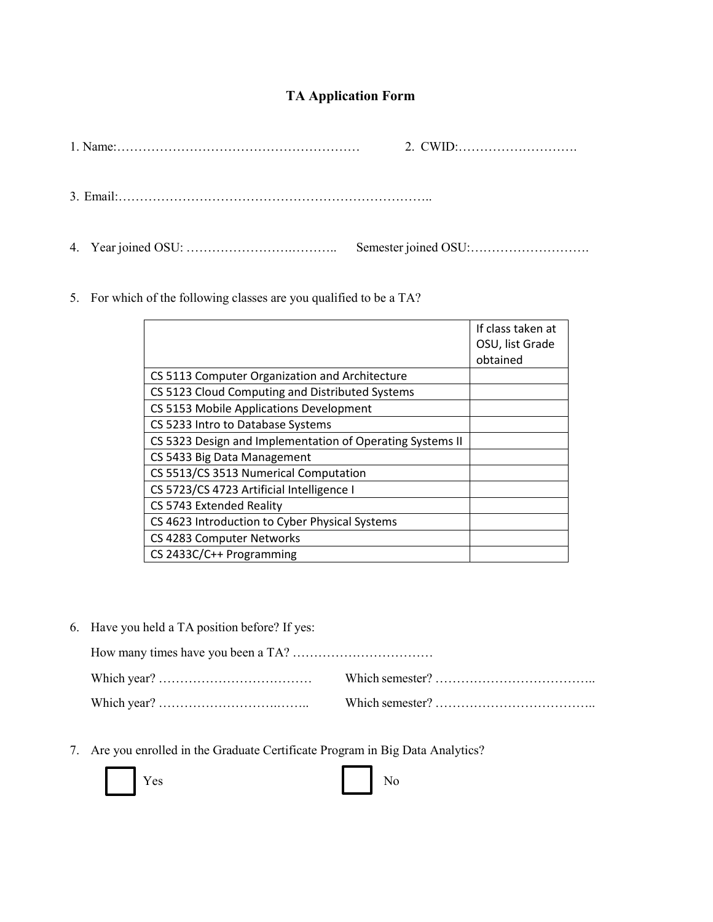## **TA Application Form**

5. For which of the following classes are you qualified to be a TA?

|                                                           | If class taken at<br>OSU, list Grade<br>obtained |
|-----------------------------------------------------------|--------------------------------------------------|
| CS 5113 Computer Organization and Architecture            |                                                  |
| CS 5123 Cloud Computing and Distributed Systems           |                                                  |
| CS 5153 Mobile Applications Development                   |                                                  |
| CS 5233 Intro to Database Systems                         |                                                  |
| CS 5323 Design and Implementation of Operating Systems II |                                                  |
| CS 5433 Big Data Management                               |                                                  |
| CS 5513/CS 3513 Numerical Computation                     |                                                  |
| CS 5723/CS 4723 Artificial Intelligence I                 |                                                  |
| CS 5743 Extended Reality                                  |                                                  |
| CS 4623 Introduction to Cyber Physical Systems            |                                                  |
| CS 4283 Computer Networks                                 |                                                  |
| CS 2433C/C++ Programming                                  |                                                  |

6. Have you held a TA position before? If yes:

7. Are you enrolled in the Graduate Certificate Program in Big Data Analytics?